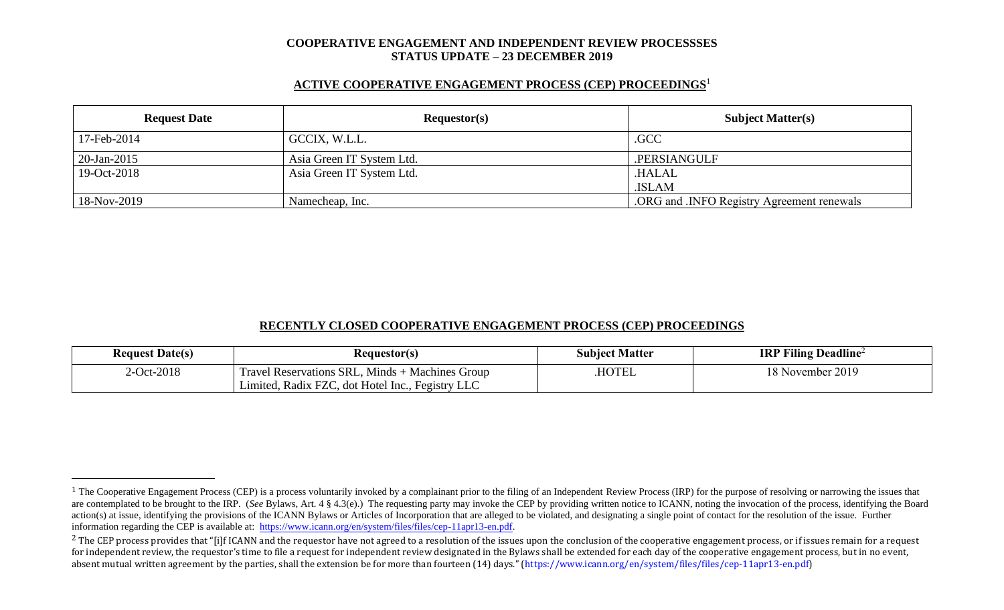#### **COOPERATIVE ENGAGEMENT AND INDEPENDENT REVIEW PROCESSSES STATUS UPDATE – 23 DECEMBER 2019**

## **ACTIVE COOPERATIVE ENGAGEMENT PROCESS (CEP) PROCEEDINGS** 1

| <b>Request Date</b> | Requestor(s)              | <b>Subject Matter(s)</b>                 |  |
|---------------------|---------------------------|------------------------------------------|--|
| 17-Feb-2014         | GCCIX, W.L.L.             | .GCC                                     |  |
| $20$ -Jan-2015      | Asia Green IT System Ltd. | .PERSIANGULF                             |  |
| 19-Oct-2018         | Asia Green IT System Ltd. | <b>HALAL</b>                             |  |
|                     |                           | .ISLAM                                   |  |
| 18-Nov-2019         | Namecheap, Inc.           | ORG and JNFO Registry Agreement renewals |  |

### **RECENTLY CLOSED COOPERATIVE ENGAGEMENT PROCESS (CEP) PROCEEDINGS**

| <b>Request Date(s)</b> | <b>Requestor(s)</b>                                             | <b>Subject Matter</b> | <b>IRP Filing Deadline</b> <sup>2</sup> |
|------------------------|-----------------------------------------------------------------|-----------------------|-----------------------------------------|
| 2-Oct-2018             | $\mathbf{r}$<br>Travel Reservations SRL, Minds + Machines Group | .HOTEL                | 18 November 2019                        |
|                        | Limited, Radix FZC, dot Hotel Inc., Fegistry LLC                |                       |                                         |

<sup>&</sup>lt;sup>1</sup> The Cooperative Engagement Process (CEP) is a process voluntarily invoked by a complainant prior to the filing of an Independent Review Process (IRP) for the purpose of resolving or narrowing the issues that are contemplated to be brought to the IRP. (*See* Bylaws, Art. 4 § 4.3(e).) The requesting party may invoke the CEP by providing written notice to ICANN, noting the invocation of the process, identifying the Board action(s) at issue, identifying the provisions of the ICANN Bylaws or Articles of Incorporation that are alleged to be violated, and designating a single point of contact for the resolution of the issue. Further information regarding the CEP is available at: [https://www.icann.org/en/system/files/files/cep-11apr13-en.pdf.](https://www.icann.org/en/system/files/files/cep-11apr13-en.pdf)

 $2$  The CEP process provides that "[i]f ICANN and the requestor have not agreed to a resolution of the issues upon the conclusion of the cooperative engagement process, or if issues remain for a request for independent review, the requestor's time to file a request for independent review designated in the Bylaws shall be extended for each day of the cooperative engagement process, but in no event, absent mutual written agreement by the parties, shall the extension be for more than fourteen (14) days." (https://www.icann.org/en/system/files/files/cep-11apr13-en.pdf)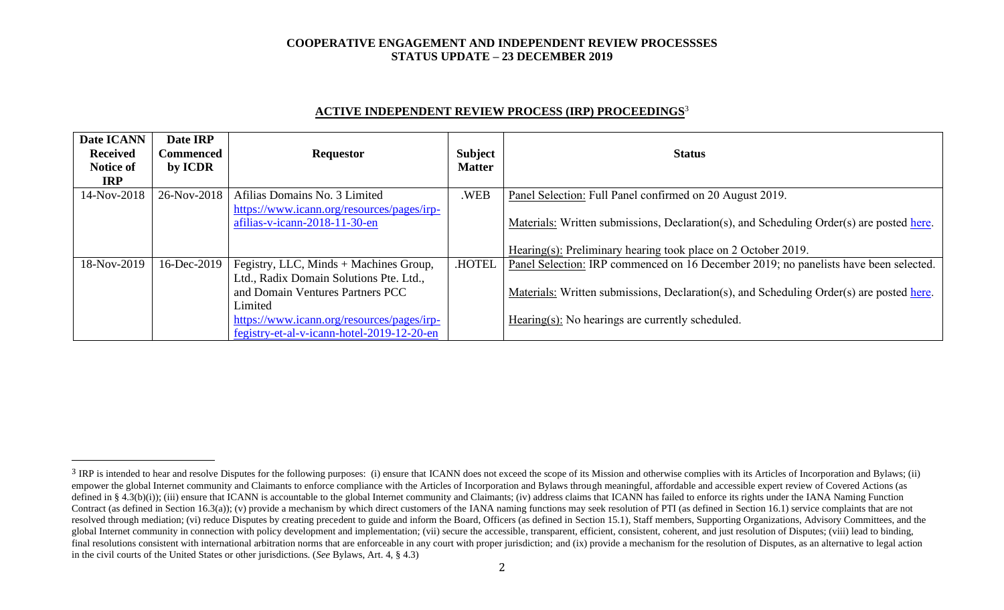### **COOPERATIVE ENGAGEMENT AND INDEPENDENT REVIEW PROCESSSES STATUS UPDATE – 23 DECEMBER 2019**

# **ACTIVE INDEPENDENT REVIEW PROCESS (IRP) PROCEEDINGS** 3

| Date ICANN<br><b>Received</b><br><b>Notice of</b> | Date IRP<br><b>Commenced</b><br>by ICDR | <b>Requestor</b>                           | Subject<br><b>Matter</b> | <b>Status</b>                                                                            |
|---------------------------------------------------|-----------------------------------------|--------------------------------------------|--------------------------|------------------------------------------------------------------------------------------|
| <b>IRP</b><br>14-Nov-2018                         | 26-Nov-2018                             | Afilias Domains No. 3 Limited              | .WEB                     | Panel Selection: Full Panel confirmed on 20 August 2019.                                 |
|                                                   |                                         | https://www.icann.org/resources/pages/irp- |                          |                                                                                          |
|                                                   |                                         | afilias-v-icann-2018-11-30-en              |                          | Materials: Written submissions, Declaration(s), and Scheduling Order(s) are posted here. |
|                                                   |                                         |                                            |                          | Hearing(s): Preliminary hearing took place on 2 October 2019.                            |
| 18-Nov-2019                                       | 16-Dec-2019                             | Fegistry, LLC, Minds + Machines Group,     | .HOTEL                   | Panel Selection: IRP commenced on 16 December 2019; no panelists have been selected.     |
|                                                   |                                         | Ltd., Radix Domain Solutions Pte. Ltd.,    |                          |                                                                                          |
|                                                   |                                         | and Domain Ventures Partners PCC           |                          | Materials: Written submissions, Declaration(s), and Scheduling Order(s) are posted here. |
|                                                   |                                         | Limited                                    |                          |                                                                                          |
|                                                   |                                         | https://www.icann.org/resources/pages/irp- |                          | Hearing(s): No hearings are currently scheduled.                                         |
|                                                   |                                         | fegistry-et-al-v-icann-hotel-2019-12-20-en |                          |                                                                                          |

<sup>&</sup>lt;sup>3</sup> IRP is intended to hear and resolve Disputes for the following purposes: (i) ensure that ICANN does not exceed the scope of its Mission and otherwise complies with its Articles of Incorporation and Bylaws; (ii) empower the global Internet community and Claimants to enforce compliance with the Articles of Incorporation and Bylaws through meaningful, affordable and accessible expert review of Covered Actions (as defined in § 4.3(b)(i)); (iii) ensure that ICANN is accountable to the global Internet community and Claimants; (iv) address claims that ICANN has failed to enforce its rights under the IANA Naming Function Contract (as defined in Section 16.3(a)); (v) provide a mechanism by which direct customers of the IANA naming functions may seek resolution of PTI (as defined in Section 16.1) service complaints that are not resolved through mediation; (vi) reduce Disputes by creating precedent to guide and inform the Board, Officers (as defined in Section 15.1), Staff members, Supporting Organizations, Advisory Committees, and the global Internet community in connection with policy development and implementation; (vii) secure the accessible, transparent, efficient, consistent, coherent, and just resolution of Disputes; (viii) lead to binding, final resolutions consistent with international arbitration norms that are enforceable in any court with proper jurisdiction; and (ix) provide a mechanism for the resolution of Disputes, as an alternative to legal action in the civil courts of the United States or other jurisdictions. (*See* Bylaws, Art. 4, § 4.3)